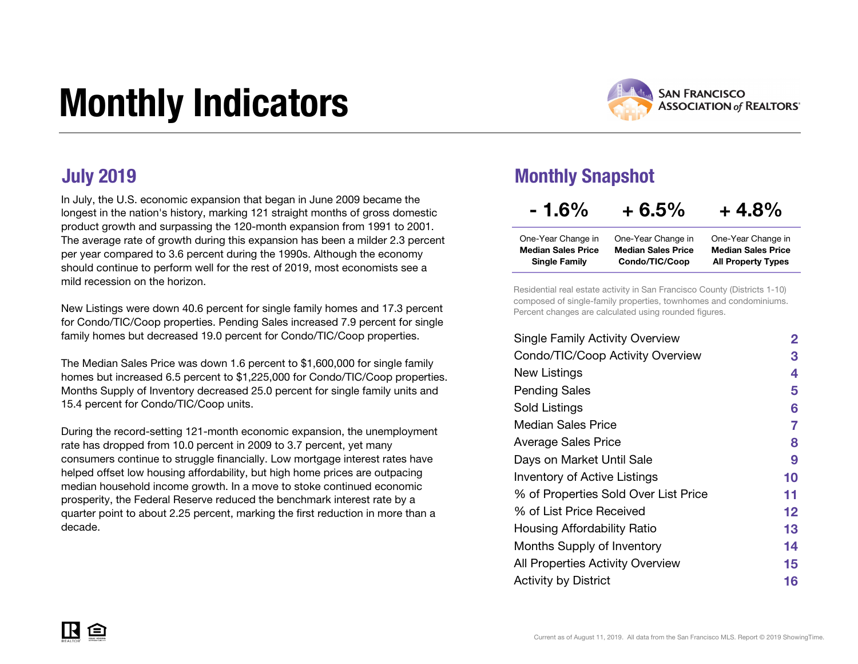# Monthly Indicators



In July, the U.S. economic expansion that began in June 2009 became the longest in the nation's history, marking 121 straight months of gross domestic product growth and surpassing the 120-month expansion from 1991 to 2001. The average rate of growth during this expansion has been a milder 2.3 percent per year compared to 3.6 percent during the 1990s. Although the economy should continue to perform well for the rest of 2019, most economists see a mild recession on the horizon.

New Listings were down 40.6 percent for single family homes and 17.3 percent for Condo/TIC/Coop properties. Pending Sales increased 7.9 percent for single family homes but decreased 19.0 percent for Condo/TIC/Coop properties.

The Median Sales Price was down 1.6 percent to \$1,600,000 for single family homes but increased 6.5 percent to \$1,225,000 for Condo/TIC/Coop properties. Months Supply of Inventory decreased 25.0 percent for single family units and 15.4 percent for Condo/TIC/Coop units.

During the record-setting 121-month economic expansion, the unemployment rate has dropped from 10.0 percent in 2009 to 3.7 percent, yet many consumers continue to struggle financially. Low mortgage interest rates have helped offset low housing affordability, but high home prices are outpacing median household income growth. In a move to stoke continued economic prosperity, the Federal Reserve reduced the benchmark interest rate by a quarter point to about 2.25 percent, marking the first reduction in more than a decade.

### July 2019 Monthly Snapshot

| $-1.6\%$                                        | $+6.5%$                                         | $+4.8%$                                         |
|-------------------------------------------------|-------------------------------------------------|-------------------------------------------------|
| One-Year Change in<br><b>Median Sales Price</b> | One-Year Change in<br><b>Median Sales Price</b> | One-Year Change in<br><b>Median Sales Price</b> |
| <b>Single Family</b>                            | Condo/TIC/Coop                                  | <b>All Property Types</b>                       |

Residential real estate activity in San Francisco County (Districts 1-10) composed of single-family properties, townhomes and condominiums. Percent changes are calculated using rounded figures.

| <b>Single Family Activity Overview</b> | $\mathbf{2}$ |
|----------------------------------------|--------------|
| Condo/TIC/Coop Activity Overview       | З            |
| New Listings                           | 4            |
| <b>Pending Sales</b>                   | 5            |
| Sold Listings                          | 6            |
| Median Sales Price                     | 7            |
| <b>Average Sales Price</b>             | 8            |
| Days on Market Until Sale              | 9            |
| <b>Inventory of Active Listings</b>    | 10           |
| % of Properties Sold Over List Price   | 11           |
| % of List Price Received               | 12           |
| Housing Affordability Ratio            | 13           |
| Months Supply of Inventory             | 14           |
| All Properties Activity Overview       | 15           |
| <b>Activity by District</b>            | 16           |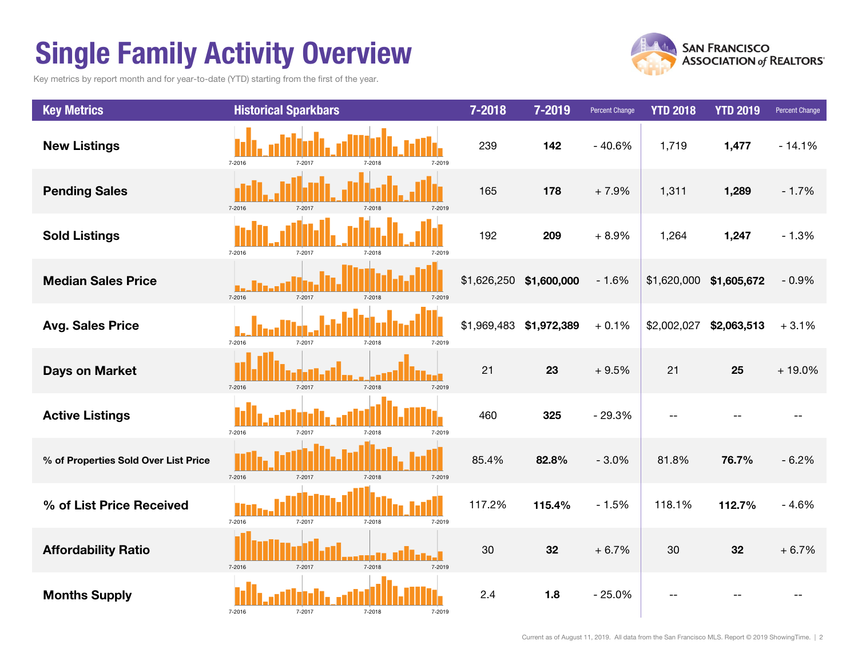## Single Family Activity Overview

Key metrics by report month and for year-to-date (YTD) starting from the first of the year.



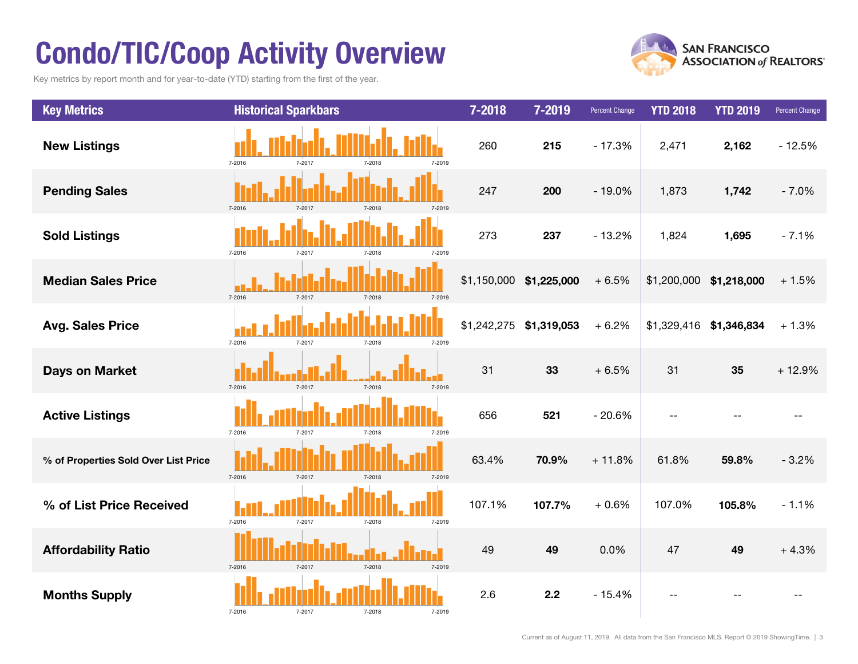## Condo/TIC/Coop Activity Overview

Key metrics by report month and for year-to-date (YTD) starting from the first of the year.



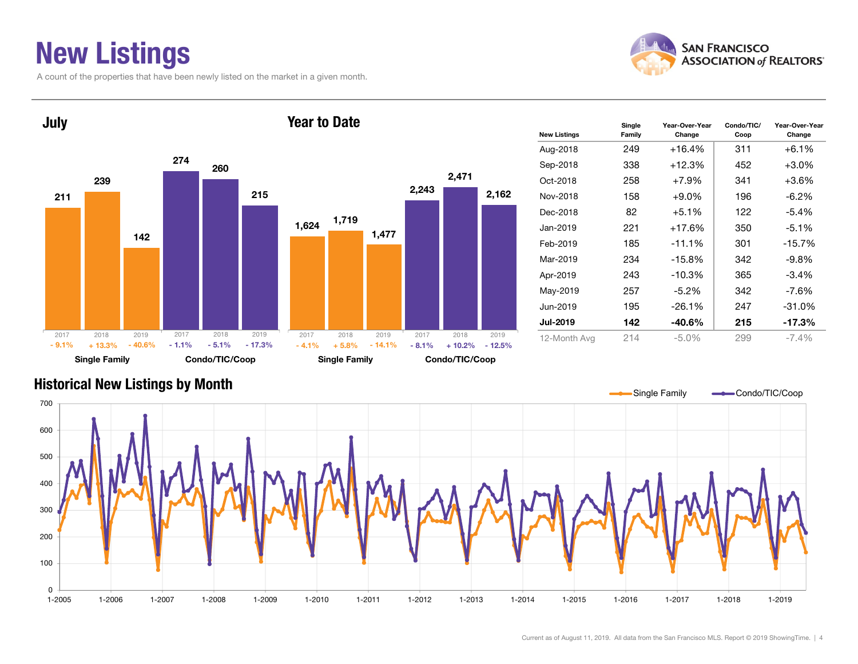### New Listings

A count of the properties that have been newly listed on the market in a given month.





| <b>New Listings</b> | Single<br>Family | Year-Over-Year<br>Change | Condo/TIC/<br>Coop | Year-Over-Year<br>Change |
|---------------------|------------------|--------------------------|--------------------|--------------------------|
| Aug-2018            | 249              | $+16.4%$                 | 311                | $+6.1%$                  |
| Sep-2018            | 338              | +12.3%                   | 452                | $+3.0\%$                 |
| Oct-2018            | 258              | $+7.9%$                  | 341                | +3.6%                    |
| Nov-2018            | 158              | $+9.0\%$                 | 196                | -6.2%                    |
| Dec-2018            | 82               | $+5.1%$                  | 122                | $-5.4%$                  |
| Jan-2019            | 221              | $+17.6%$                 | 350                | $-5.1%$                  |
| Feb-2019            | 185              | $-11.1%$                 | 301                | $-15.7%$                 |
| Mar-2019            | 234              | $-15.8%$                 | 342                | $-9.8\%$                 |
| Apr-2019            | 243              | $-10.3%$                 | 365                | $-3.4%$                  |
| May-2019            | 257              | $-5.2\%$                 | 342                | -7.6%                    |
| Jun-2019            | 195              | $-26.1%$                 | 247                | $-31.0%$                 |
| <b>Jul-2019</b>     | 142              | $-40.6\%$                | 215                | -17.3%                   |
| 12-Month Avg        | 214              | $-5.0\%$                 | 299                | $-7.4\%$                 |

#### Historical New Listings by Month

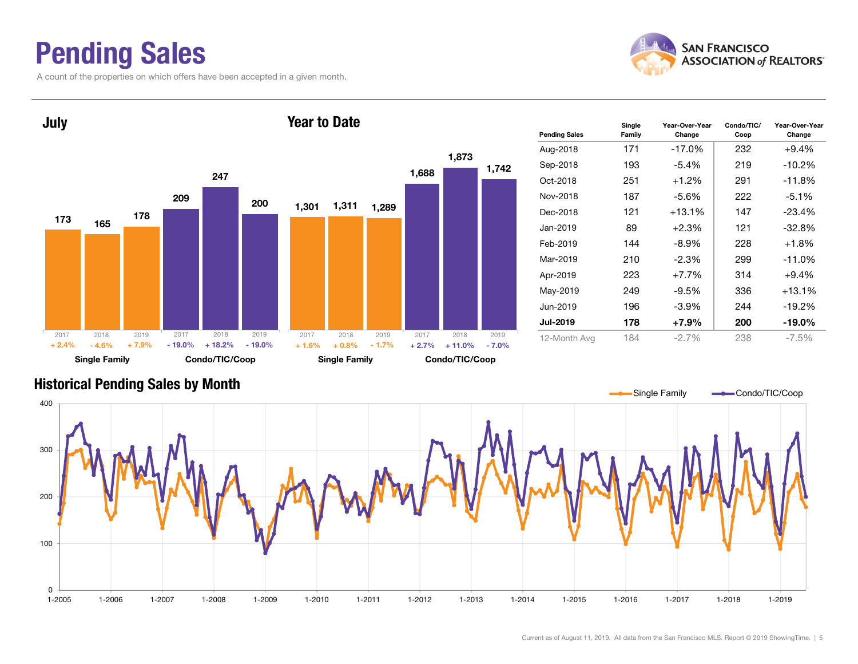### Pending Sales

A count of the properties on which offers have been accepted in a given month.





#### Historical Pending Sales by Month

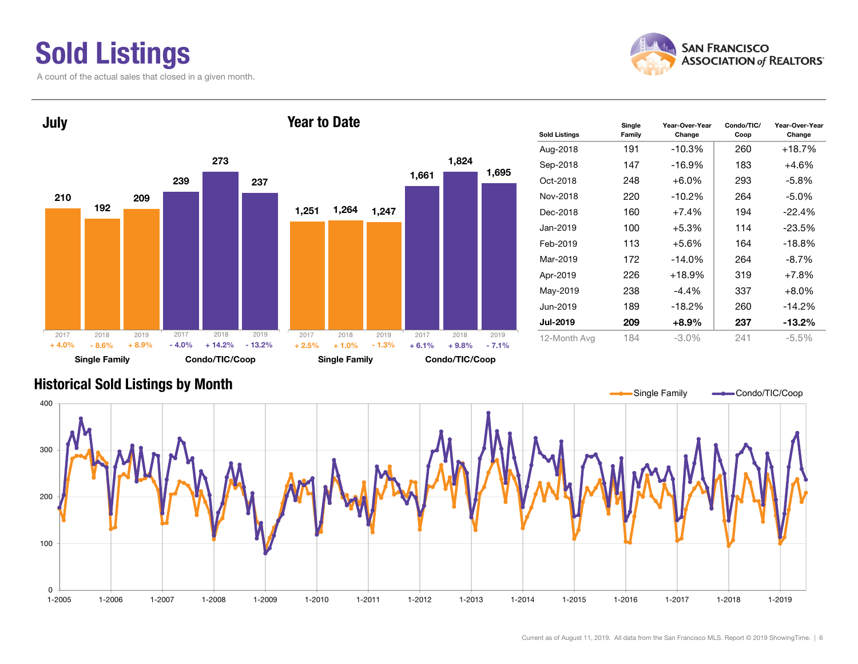### Sold Listings

A count of the actual sales that closed in a given month.



Change



#### Historical Sold Listings by Month

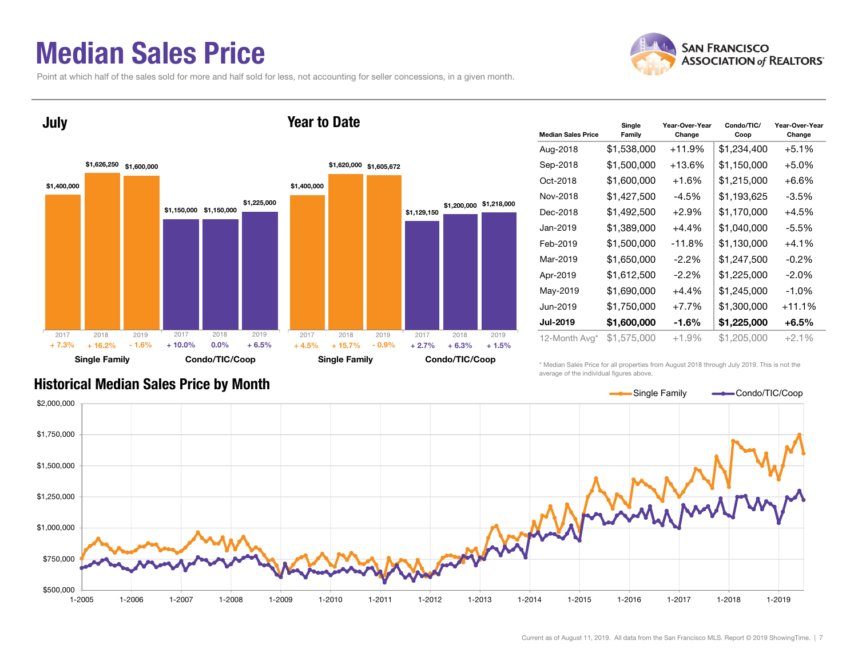### Median Sales Price

July

Point at which half of the sales sold for more and half sold for less, not accounting for seller concessions, in a given month.

Year to Date





| <b>Median Sales Price</b> | Single<br>Family | Year-Over-Year<br>Change | Condo/TIC/<br>Coop | Year-Over-Year<br>Change |
|---------------------------|------------------|--------------------------|--------------------|--------------------------|
| Aug-2018                  | \$1,538,000      | $+11.9%$                 | \$1,234,400        | $+5.1%$                  |
| Sep-2018                  | \$1,500,000      | $+13.6\%$                | \$1,150,000        | $+5.0%$                  |
| Oct-2018                  | \$1,600,000      | $+1.6%$                  | \$1,215,000        | $+6.6%$                  |
| Nov-2018                  | \$1,427,500      | $-4.5%$                  | \$1,193,625        | $-3.5%$                  |
| Dec-2018                  | \$1,492,500      | $+2.9\%$                 | \$1,170,000        | $+4.5%$                  |
| Jan-2019                  | \$1,389,000      | $+4.4%$                  | \$1,040,000        | $-5.5%$                  |
| Feb-2019                  | \$1,500,000      | $-11.8%$                 | \$1,130,000        | $+4.1%$                  |
| Mar-2019                  | \$1,650,000      | $-2.2\%$                 | \$1,247,500        | $-0.2\%$                 |
| Apr-2019                  | \$1,612,500      | $-2.2\%$                 | \$1,225,000        | $-2.0\%$                 |
| May-2019                  | \$1,690,000      | +4.4%                    | \$1,245,000        | $-1.0\%$                 |
| Jun-2019                  | \$1,750,000      | $+7.7%$                  | \$1,300,000        | +11.1%                   |
| <b>Jul-2019</b>           | \$1,600,000      | -1.6%                    | \$1,225,000        | $+6.5%$                  |
| 12-Month Avg*             | \$1,575,000      | +1.9%                    | \$1,205,000        | $+2.1%$                  |

\* Median Sales Price for all properties from August 2018 through July 2019. This is not the average of the individual figures above.



#### Historical Median Sales Price by Month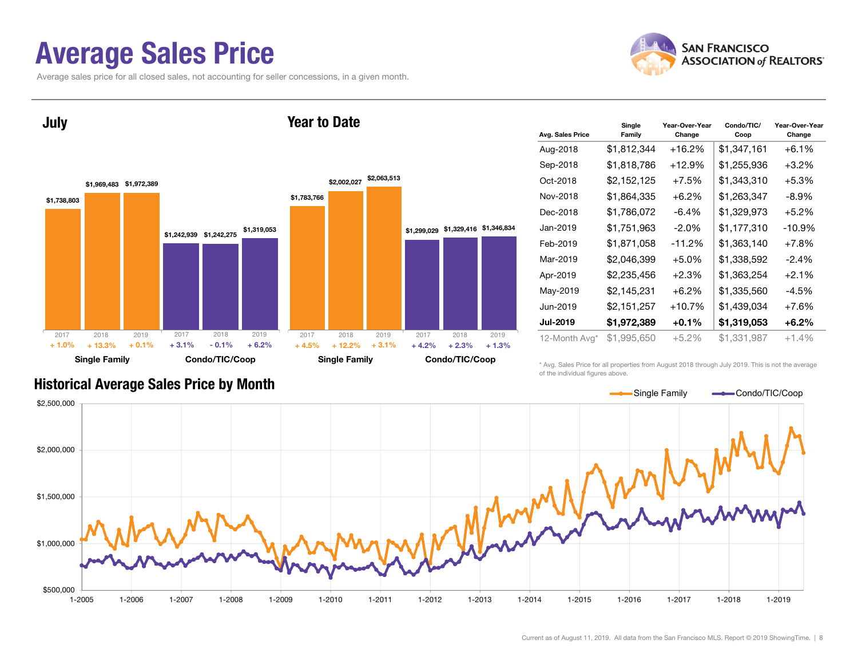### Average Sales Price

Average sales price for all closed sales, not accounting for seller concessions, in a given month.





| Avg. Sales Price | Single<br>Family | Year-Over-Year<br>Change | Condo/TIC/<br>Coop | Year-Over-Year<br>Change |
|------------------|------------------|--------------------------|--------------------|--------------------------|
| Aug-2018         | \$1,812,344      | $+16.2%$                 | \$1,347,161        | $+6.1%$                  |
| Sep-2018         | \$1,818,786      | $+12.9%$                 | \$1,255,936        | $+3.2\%$                 |
| Oct-2018         | \$2,152,125      | $+7.5%$                  | \$1,343,310        | $+5.3%$                  |
| Nov-2018         | \$1,864,335      | $+6.2%$                  | \$1,263,347        | -8.9%                    |
| Dec-2018         | \$1,786,072      | -6.4%                    | \$1,329,973        | $+5.2\%$                 |
| Jan-2019         | \$1,751,963      | $-2.0%$                  | \$1,177,310        | $-10.9%$                 |
| Feb-2019         | \$1,871,058      | $-11.2%$                 | \$1,363,140        | $+7.8%$                  |
| Mar-2019         | \$2,046,399      | $+5.0%$                  | \$1,338,592        | $-2.4%$                  |
| Apr-2019         | \$2,235,456      | +2.3%                    | \$1,363,254        | $+2.1%$                  |
| May-2019         | \$2,145,231      | $+6.2\%$                 | \$1,335,560        | -4.5%                    |
| Jun-2019         | \$2,151,257      | $+10.7%$                 | \$1,439,034        | $+7.6%$                  |
| <b>Jul-2019</b>  | \$1,972,389      | $+0.1%$                  | \$1,319,053        | $+6.2\%$                 |
| 12-Month Avg*    | \$1,995,650      | $+5.2%$                  | \$1,331,987        | $+1.4%$                  |

#### Historical Average Sales Price by Month

\* Avg. Sales Price for all properties from August 2018 through July 2019. This is not the average of the individual figures above.

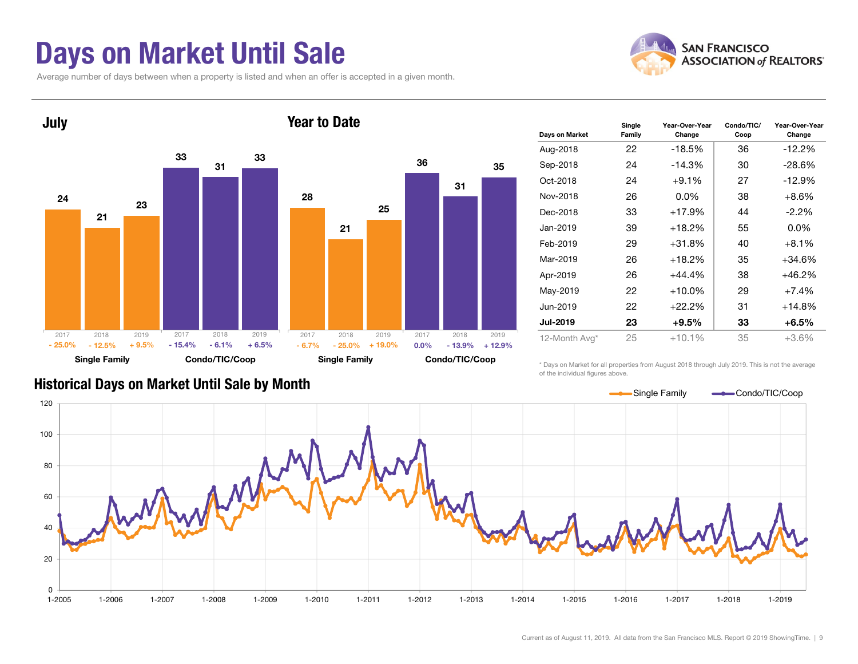### Days on Market Until Sale

Average number of days between when a property is listed and when an offer is accepted in a given month.





| Days on Market  | Single<br>Family | Year-Over-Year<br>Change | Condo/TIC/<br>Coop | Year-Over-Year<br>Change |
|-----------------|------------------|--------------------------|--------------------|--------------------------|
| Aug-2018        | 22               | $-18.5%$                 | 36                 | $-12.2%$                 |
| Sep-2018        | 24               | $-14.3%$                 | 30                 | $-28.6%$                 |
| Oct-2018        | 24               | $+9.1%$                  | 27                 | $-12.9%$                 |
| Nov-2018        | 26               | $0.0\%$                  | 38                 | $+8.6%$                  |
| Dec-2018        | 33               | $+17.9%$                 | 44                 | $-2.2\%$                 |
| Jan-2019        | 39               | $+18.2%$                 | 55                 | $0.0\%$                  |
| Feb-2019        | 29               | $+31.8%$                 | 40                 | $+8.1%$                  |
| Mar-2019        | 26               | $+18.2%$                 | 35                 | $+34.6%$                 |
| Apr-2019        | 26               | $+44.4\%$                | 38                 | $+46.2%$                 |
| May-2019        | 22               | $+10.0\%$                | 29                 | $+7.4%$                  |
| Jun-2019        | 22               | $+22.2%$                 | 31                 | $+14.8%$                 |
| <b>Jul-2019</b> | 23               | +9.5%                    | 33                 | $+6.5%$                  |
| 12-Month Avg*   | 25               | $+10.1%$                 | 35                 | $+3.6%$                  |

Historical Days on Market Until Sale by Month

\* Days on Market for all properties from August 2018 through July 2019. This is not the average of the individual figures above.

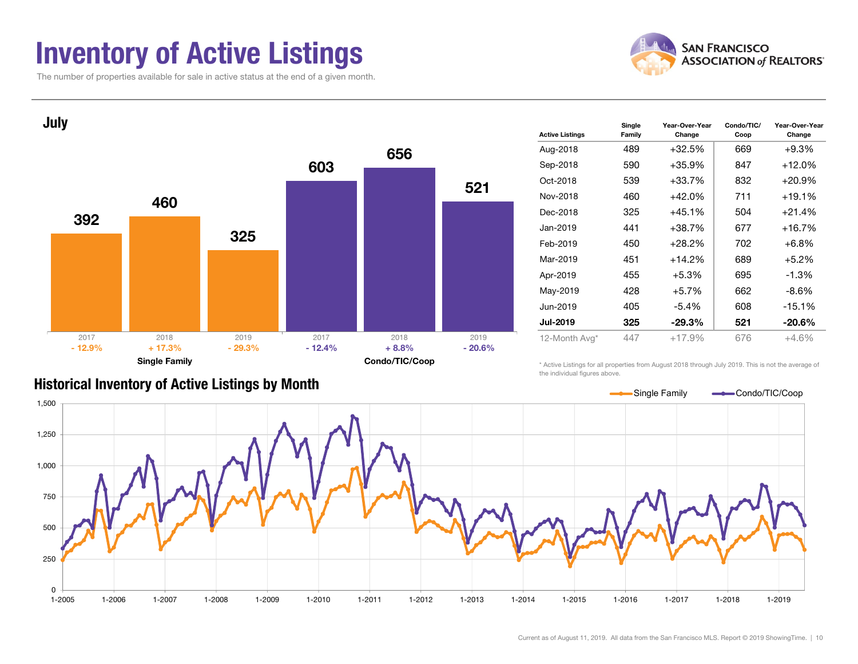### Inventory of Active Listings

The number of properties available for sale in active status at the end of a given month.





| <b>Historical Inventory of Active Listings by Month</b> |  |  |
|---------------------------------------------------------|--|--|
|                                                         |  |  |

| <b>Active Listings</b> | Single<br>Family | Year-Over-Year<br>Change | Condo/TIC/<br>Coop | Year-Over-Year<br>Change |
|------------------------|------------------|--------------------------|--------------------|--------------------------|
| Aug-2018               | 489              | $+32.5%$                 | 669                | $+9.3%$                  |
| Sep-2018               | 590              | $+35.9%$                 | 847                | $+12.0%$                 |
| Oct-2018               | 539              | $+33.7%$                 | 832                | $+20.9%$                 |
| Nov-2018               | 460              | $+42.0%$                 | 711                | $+19.1%$                 |
| Dec-2018               | 325              | $+45.1%$                 | 504                | $+21.4%$                 |
| Jan-2019               | 441              | $+38.7%$                 | 677                | $+16.7%$                 |
| Feb-2019               | 450              | $+28.2%$                 | 702                | $+6.8%$                  |
| Mar-2019               | 451              | $+14.2%$                 | 689                | $+5.2%$                  |
| Apr-2019               | 455              | $+5.3%$                  | 695                | $-1.3%$                  |
| May-2019               | 428              | $+5.7%$                  | 662                | -8.6%                    |
| Jun-2019               | 405              | $-5.4%$                  | 608                | $-15.1%$                 |
| <b>Jul-2019</b>        | 325              | $-29.3%$                 | 521                | $-20.6\%$                |
| 12-Month Avg*          | 447              | $+17.9%$                 | 676                | $+4.6%$                  |
|                        |                  |                          |                    |                          |

\* Active Listings for all properties from August 2018 through July 2019. This is not the average of the individual figures above.

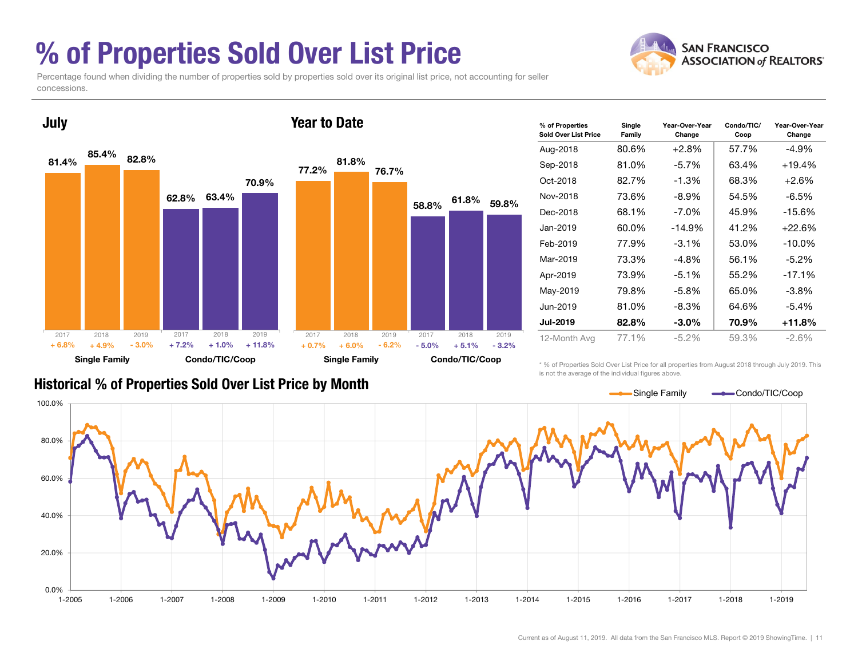### % of Properties Sold Over List Price

Percentage found when dividing the number of properties sold by properties sold over its original list price, not accounting for seller concessions.



| % of Properties<br>Sold Over List Price | Single<br>Family | Year-Over-Year<br>Change | Condo/TIC/<br>Coop | Year-Over-Year<br>Change |
|-----------------------------------------|------------------|--------------------------|--------------------|--------------------------|
| Aug-2018                                | 80.6%            | +2.8%                    | 57.7%              | $-4.9%$                  |
| Sep-2018                                | 81.0%            | $-5.7%$                  | 63.4%              | $+19.4%$                 |
| Oct-2018                                | 82.7%            | -1.3%                    | 68.3%              | $+2.6%$                  |
| Nov-2018                                | 73.6%            | $-8.9\%$                 | 54.5%              | $-6.5\%$                 |
| Dec-2018                                | 68.1%            | $-7.0\%$                 | 45.9%              | $-15.6%$                 |
| Jan-2019                                | 60.0%            | $-14.9%$                 | 41.2%              | $+22.6%$                 |
| Feb-2019                                | 77.9%            | $-3.1\%$                 | 53.0%              | $-10.0\%$                |
| Mar-2019                                | 73.3%            | -4.8%                    | 56.1%              | $-5.2\%$                 |
| Apr-2019                                | 73.9%            | $-5.1%$                  | 55.2%              | $-17.1%$                 |
| May-2019                                | 79.8%            | $-5.8\%$                 | 65.0%              | -3.8%                    |
| Jun-2019                                | 81.0%            | -8.3%                    | 64.6%              | $-5.4\%$                 |
| <b>Jul-2019</b>                         | 82.8%            | $-3.0\%$                 | 70.9%              | $+11.8%$                 |
| 12-Month Avg                            | 77.1%            | -5.2%                    | 59.3%              | $-2.6\%$                 |

#### Historical % of Properties Sold Over List Price by Month

\* % of Properties Sold Over List Price for all properties from August 2018 through July 2019. This is not the average of the individual figures above.



**SAN FRANCISCO ASSOCIATION of REALTORS'**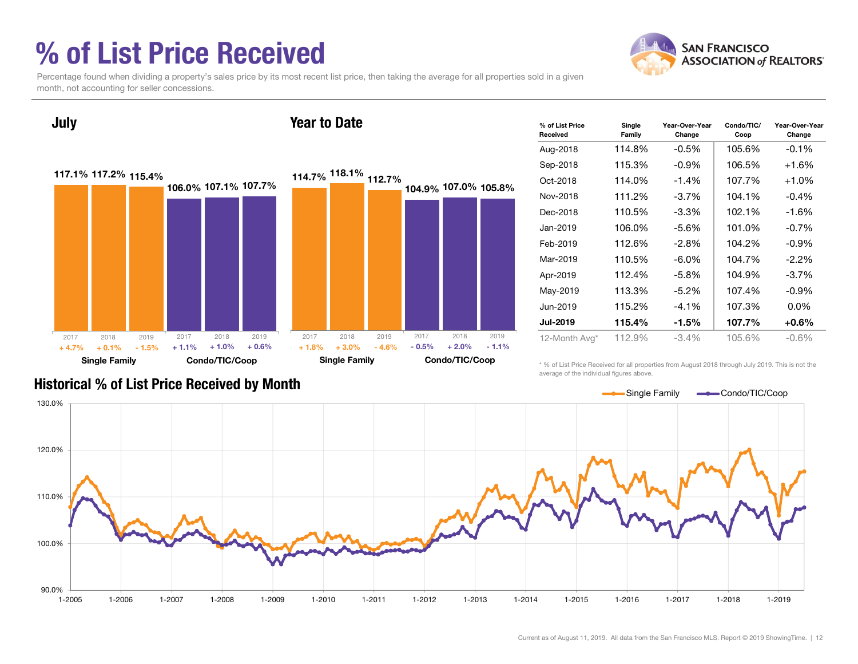### % of List Price Received



Percentage found when dividing a property's sales price by its most recent list price, then taking the average for all properties sold in a given month, not accounting for seller concessions.



| % of List Price<br>Received | Single<br>Family | Year-Over-Year<br>Change | Condo/TIC/<br>Coop | Year-Over-Year<br>Change |
|-----------------------------|------------------|--------------------------|--------------------|--------------------------|
| Aug-2018                    | 114.8%           | $-0.5%$                  | 105.6%             | $-0.1%$                  |
| Sep-2018                    | 115.3%           | $-0.9\%$                 | 106.5%             | +1.6%                    |
| Oct-2018                    | 114.0%           | $-1.4%$                  | 107.7%             | $+1.0%$                  |
| Nov-2018                    | 111.2%           | $-3.7%$                  | 104.1%             | $-0.4\%$                 |
| Dec-2018                    | 110.5%           | $-3.3\%$                 | 102.1%             | $-1.6%$                  |
| Jan-2019                    | 106.0%           | $-5.6%$                  | 101.0%             | $-0.7%$                  |
| Feb-2019                    | 112.6%           | $-2.8%$                  | 104.2%             | $-0.9\%$                 |
| Mar-2019                    | 110.5%           | $-6.0\%$                 | 104.7%             | $-2.2\%$                 |
| Apr-2019                    | 112.4%           | $-5.8\%$                 | 104.9%             | $-3.7\%$                 |
| May-2019                    | 113.3%           | $-5.2\%$                 | 107.4%             | $-0.9\%$                 |
| Jun-2019                    | 115.2%           | $-4.1%$                  | 107.3%             | $0.0\%$                  |
| <b>Jul-2019</b>             | 115.4%           | $-1.5\%$                 | 107.7%             | $+0.6\%$                 |
| 12-Month Avg*               | 112.9%           | $-3.4\%$                 | 105.6%             | $-0.6%$                  |

\* % of List Price Received for all properties from August 2018 through July 2019. This is not the average of the individual figures above.



#### Historical % of List Price Received by Month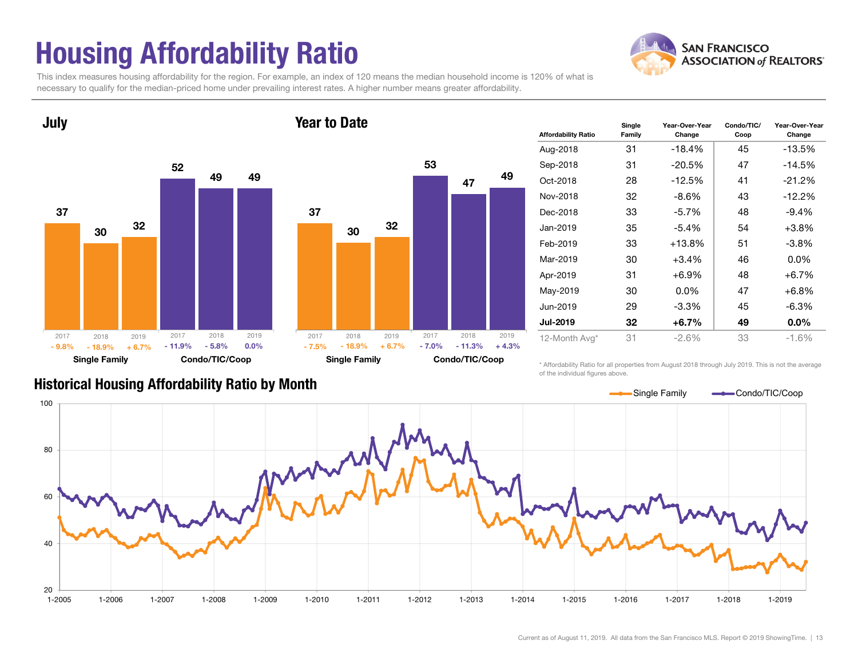## Housing Affordability Ratio

This index measures housing affordability for the region. For example, an index of 120 means the median household income is 120% of what is necessary to qualify for the median-priced home under prevailing interest rates. A higher number means greater affordability.

Year to Date



July

#### 375330473249Single Family Condo/TIC/Coop 2017 2018 2019 - 18.9% - 7.0% $+ 6.7\%$  - 7.0% - 11.3% + 4.3% 2017 2018 2019- 7.5%

| <b>Affordability Ratio</b> | Single<br>Family | Year-Over-Year<br>Change | Condo/TIC/<br>Coop | Year-Over-Year<br>Change |
|----------------------------|------------------|--------------------------|--------------------|--------------------------|
| Aug-2018                   | 31               | $-18.4%$                 | 45                 | $-13.5%$                 |
| Sep-2018                   | 31               | $-20.5%$                 | 47                 | $-14.5%$                 |
| Oct-2018                   | 28               | $-12.5%$                 | 41                 | $-21.2%$                 |
| Nov-2018                   | 32               | $-8.6\%$                 | 43                 | $-12.2%$                 |
| Dec-2018                   | 33               | $-5.7\%$                 | 48                 | $-9.4%$                  |
| Jan-2019                   | 35               | $-5.4%$                  | 54                 | $+3.8%$                  |
| Feb-2019                   | 33               | $+13.8\%$                | 51                 | $-3.8\%$                 |
| Mar-2019                   | 30               | $+3.4%$                  | 46                 | $0.0\%$                  |
| Apr-2019                   | 31               | +6.9%                    | 48                 | $+6.7%$                  |
| May-2019                   | 30               | $0.0\%$                  | 47                 | $+6.8%$                  |
| Jun-2019                   | 29               | $-3.3%$                  | 45                 | $-6.3%$                  |
| <b>Jul-2019</b>            | 32               | +6.7%                    | 49                 | $0.0\%$                  |
| 12-Month Avg*              | 31               | $-2.6\%$                 | 33                 | $-1.6%$                  |

Historical Housing Affordability Ratio by Month

\* Affordability Ratio for all properties from August 2018 through July 2019. This is not the average of the individual figures above.



**SAN FRANCISCO ASSOCIATION of REALTORS'**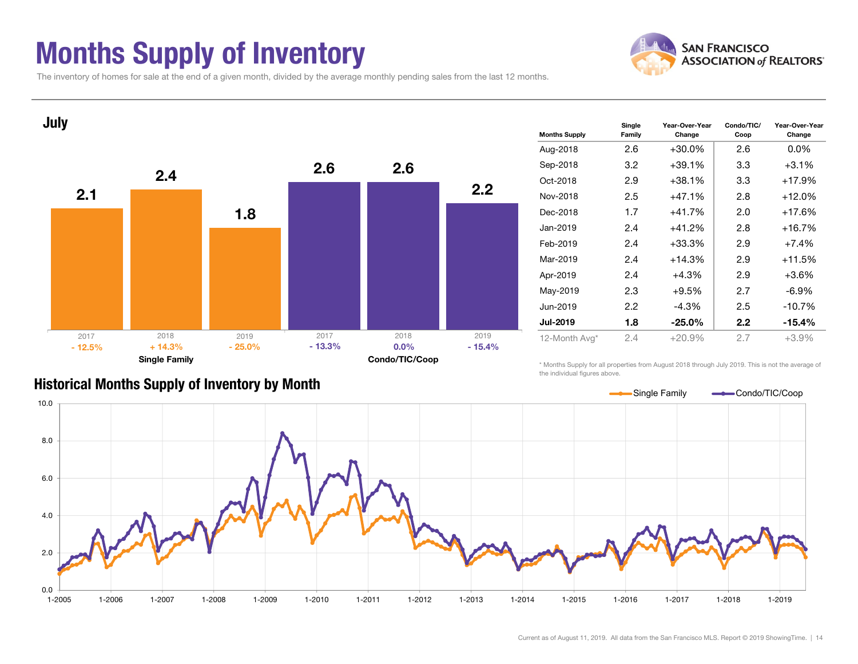### Months Supply of Inventory



The inventory of homes for sale at the end of a given month, divided by the average monthly pending sales from the last 12 months.



#### Historical Months Supply of Inventory by Month

\* Months Supply for all properties from August 2018 through July 2019. This is not the average of the individual figures above.

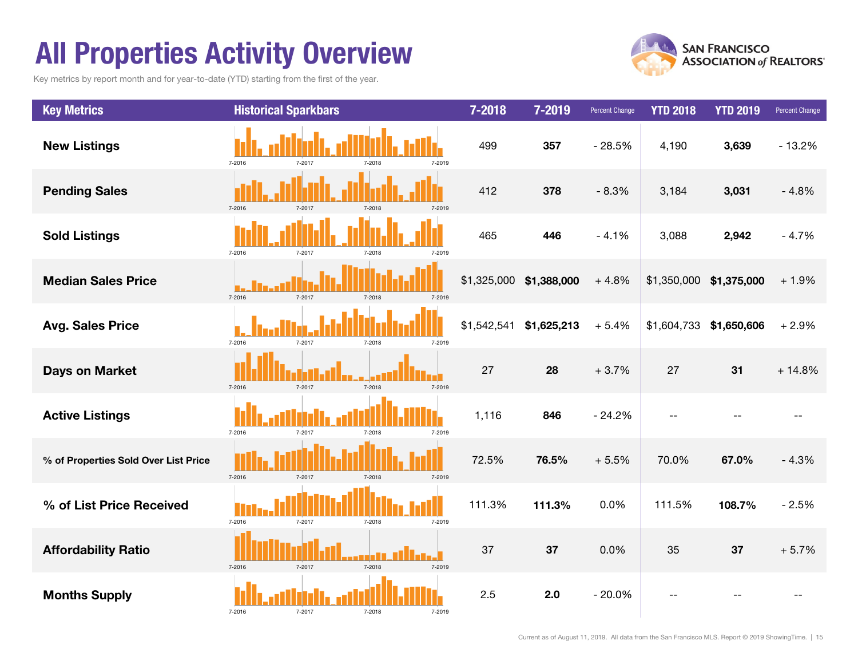### All Properties Activity Overview

Key metrics by report month and for year-to-date (YTD) starting from the first of the year.